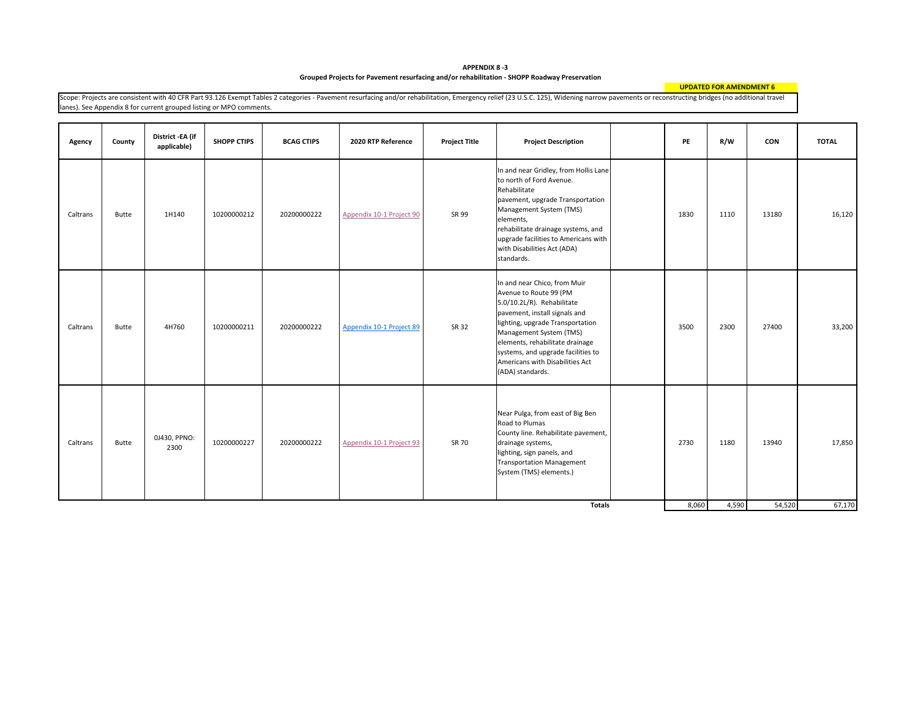**Grouped Projects for Pavement resurfacing and/or rehabilitation ‐ SHOPP Roadway Preservation APPENDIX 8 ‐3**

**UPDATED FOR AMENDMENT 6**

Scope: Projects are consistent with 40 CFR Part 93.126 Exempt Tables 2 categories - Pavement resurfacing and/or rehabilitation, Emergency relief (23 U.S.C. 125), Widening narrow pavements or reconstructing bridges (no addi lanes). See Appendix 8 for current grouped listing or MPO comments.

| Agency   | County       | District -EA (if<br>applicable) | <b>SHOPP CTIPS</b> | <b>BCAG CTIPS</b> | 2020 RTP Reference       | <b>Project Title</b> | <b>Project Description</b>                                                                                                                                                                                                                                                                                           | PE    | R/W   | CON    | <b>TOTAL</b> |
|----------|--------------|---------------------------------|--------------------|-------------------|--------------------------|----------------------|----------------------------------------------------------------------------------------------------------------------------------------------------------------------------------------------------------------------------------------------------------------------------------------------------------------------|-------|-------|--------|--------------|
| Caltrans | <b>Butte</b> | 1H140                           | 10200000212        | 20200000222       | Appendix 10-1 Project 90 | SR 99                | In and near Gridley, from Hollis Lane<br>to north of Ford Avenue.<br>Rehabilitate<br>pavement, upgrade Transportation<br>Management System (TMS)<br>elements,<br>rehabilitate drainage systems, and<br>upgrade facilities to Americans with<br>with Disabilities Act (ADA)<br>standards.                             | 1830  | 1110  | 13180  | 16,120       |
| Caltrans | Butte        | 4H760                           | 10200000211        | 20200000222       | Appendix 10-1 Project 89 | SR 32                | In and near Chico, from Muir<br>Avenue to Route 99 (PM<br>5.0/10.2L/R). Rehabilitate<br>pavement, install signals and<br>lighting, upgrade Transportation<br>Management System (TMS)<br>elements, rehabilitate drainage<br>systems, and upgrade facilities to<br>Americans with Disabilities Act<br>(ADA) standards. | 3500  | 2300  | 27400  | 33,200       |
| Caltrans | Butte        | 0J430, PPNO:<br>2300            | 10200000227        | 20200000222       | Appendix 10-1 Project 93 | SR 70                | Near Pulga, from east of Big Ben<br>Road to Plumas<br>County line. Rehabilitate pavement,<br>drainage systems,<br>lighting, sign panels, and<br><b>Transportation Management</b><br>System (TMS) elements.)                                                                                                          | 2730  | 1180  | 13940  | 17,850       |
|          |              |                                 |                    |                   |                          |                      | Totals                                                                                                                                                                                                                                                                                                               | 8,060 | 4,590 | 54,520 | 67,170       |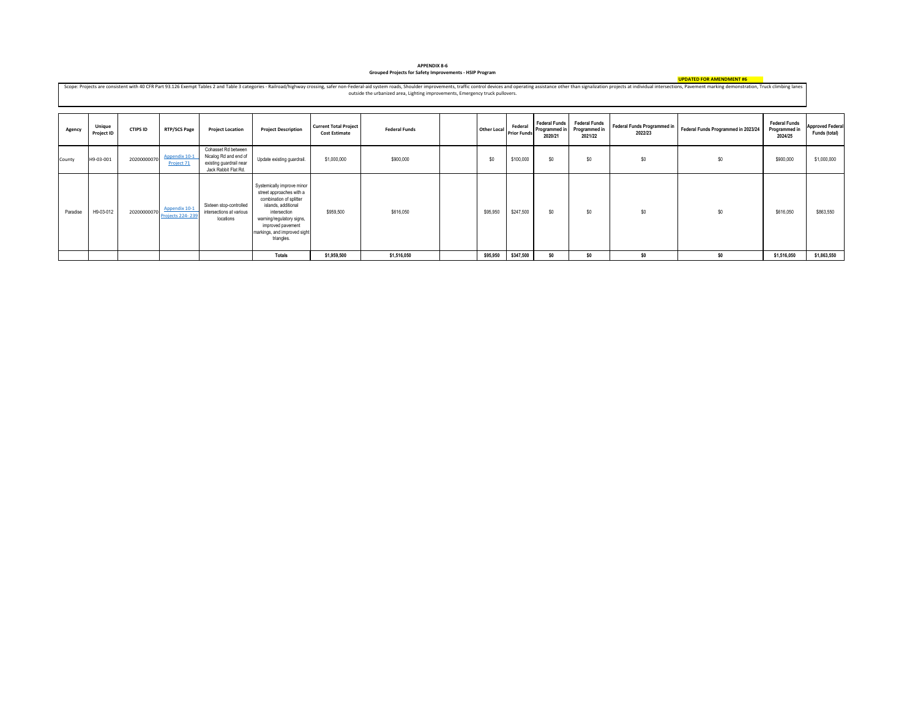## **Grouped Projects for Safety Improvements ‐ HSIP Program APPENDIX 8‐6**

**UPDATED FOR AMENDMENT #6**

Scope: Projects are consistent with 40 CFR Part 93.126 Exempt Tables 2 and Table 3 categories - Railroad/highway crossing, safer non-Federal-aid system roads, Shoulder improvements, traffic control devices and operating as outside the urbanized area, Lighting improvements, Emergency truck pullovers.

| Agency   | <b>Unique</b><br>Project ID | <b>CTIPS ID</b> | <b>RTP/SCS Page</b>                      | <b>Project Location</b>                                                                         | <b>Project Description</b>                                                                                                                                                                                               | <b>Current Total Project</b><br><b>Cost Estimate</b> | <b>Federal Funds</b> | <b>Other Local</b> | Federal<br><b>Prior Funds</b> | <b>Federal Funds</b><br>Programmed in<br>2020/21 | <b>Federal Funds</b><br>Programmed in<br>2021/22 | <b>Federal Funds Programmed in</b><br>2022/23 | Federal Funds Programmed in 2023/24 | <b>Federal Funds</b><br>Programmed in<br>2024/25 | <b>Approved Federal</b><br>Funds (total) |
|----------|-----------------------------|-----------------|------------------------------------------|-------------------------------------------------------------------------------------------------|--------------------------------------------------------------------------------------------------------------------------------------------------------------------------------------------------------------------------|------------------------------------------------------|----------------------|--------------------|-------------------------------|--------------------------------------------------|--------------------------------------------------|-----------------------------------------------|-------------------------------------|--------------------------------------------------|------------------------------------------|
| County   | H9-03-001                   | 20200000070     | Appendix 10-1<br>Project 71              | Cohasset Rd between<br>Nicalog Rd and end of<br>existing guardrail near<br>Jack Rabbit Flat Rd. | Update existing guardrail.                                                                                                                                                                                               | \$1,000,000                                          | \$900,000            | \$0                | \$100,000                     | \$O                                              | \$0                                              | \$0                                           | \$0                                 | \$900,000                                        | \$1,000,000                              |
| Paradise | H9-03-012                   | 20200000070     | Appendix 10-1<br><b>Projects 224-239</b> | Sixteen stop-controlled<br>intersections at various<br>locations                                | Systemically improve minor<br>street approaches with a<br>combination of splitter<br>islands, additional<br>intersection<br>warning/regulatory signs,<br>improved pavement<br>markings, and improved sight<br>triangles. | \$959,500                                            | \$616,050            | \$95,950           | \$247,500                     | \$O                                              | \$0                                              | \$0                                           | \$0                                 | \$616,050                                        | \$863,550                                |
|          |                             |                 |                                          |                                                                                                 | Totals                                                                                                                                                                                                                   | \$1,959,500                                          | \$1,516,050          | \$95,950           | \$347,500                     | \$0                                              | \$0                                              | \$0                                           | \$0                                 | \$1,516,050                                      | \$1,863,550                              |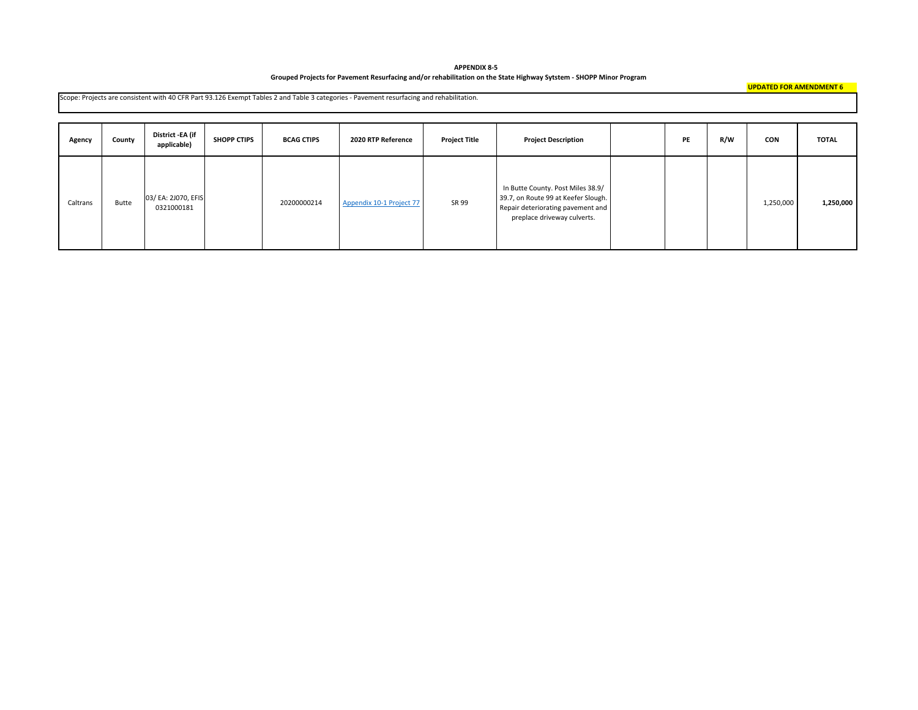**APPENDIX 8‐5** Grouped Projects for Pavement Resurfacing and/or rehabilitation on the State Highway Sytstem - SHOPP Minor Program

|          | Scope: Projects are consistent with 40 CFR Part 93.126 Exempt Tables 2 and Table 3 categories - Pavement resurfacing and rehabilitation. |                                   |                    |                   |                          |                      |                                                                                                                                              |  |    |     |            |              |  |
|----------|------------------------------------------------------------------------------------------------------------------------------------------|-----------------------------------|--------------------|-------------------|--------------------------|----------------------|----------------------------------------------------------------------------------------------------------------------------------------------|--|----|-----|------------|--------------|--|
| Agency   | County                                                                                                                                   | District -EA (if<br>applicable)   | <b>SHOPP CTIPS</b> | <b>BCAG CTIPS</b> | 2020 RTP Reference       | <b>Project Title</b> | <b>Project Description</b>                                                                                                                   |  | PE | R/W | <b>CON</b> | <b>TOTAL</b> |  |
| Caltrans | Butte                                                                                                                                    | 03/ EA: 2J070, EFIS<br>0321000181 |                    | 20200000214       | Appendix 10-1 Project 77 | SR 99                | In Butte County. Post Miles 38.9/<br>39.7, on Route 99 at Keefer Slough.<br>Repair deteriorating pavement and<br>preplace driveway culverts. |  |    |     | 1,250,000  | 1,250,000    |  |

**UPDATED FOR AMENDMENT 6**